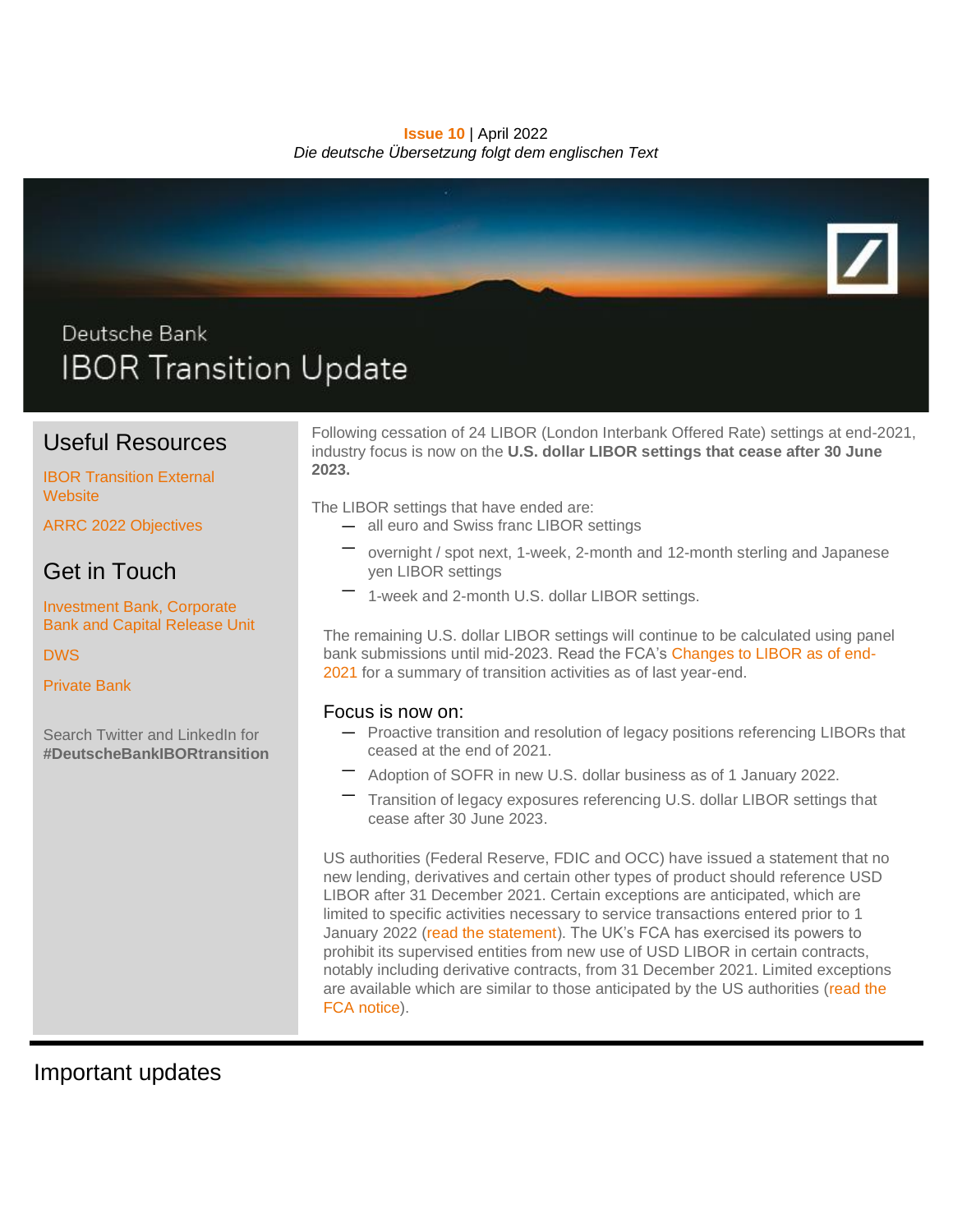#### **Issue 10** | April 2022 *Die deutsche Übersetzung folgt dem englischen Text*



# Useful Resources

#### [IBOR Transition External](https://www.db.com/IBORTransition)  **[Website](https://www.db.com/IBORTransition)**

[ARRC 2022 Objectives](https://www.newyorkfed.org/medialibrary/Microsites/arrc/files/2022/ARRC_2022_Objectives.pdf)

# Get in Touch

[Investment Bank, Corporate](mailto:IBORtransition@db.com)  [Bank and Capital Release Unit](mailto:IBORtransition@db.com)

[DWS](mailto:referencerate.dws@dws.com)

[Private Bank](mailto:IBOR.PrivateBank@db.com)

Search Twitter and LinkedIn for **#DeutscheBankIBORtransition**

Following cessation of 24 LIBOR (London Interbank Offered Rate) settings at end-2021, industry focus is now on the **U.S. dollar LIBOR settings that cease after 30 June 2023.**

The LIBOR settings that have ended are:

- all euro and Swiss franc LIBOR settings
- overnight / spot next, 1-week, 2-month and 12-month sterling and Japanese yen LIBOR settings
- 1-week and 2-month U.S. dollar LIBOR settings.

The remaining U.S. dollar LIBOR settings will continue to be calculated using panel bank submissions until mid-2023. Read the FCA's [Changes to LIBOR as of end-](https://www.fca.org.uk/news/news-stories/changes-libor-as-of-end-2021)[2021](https://www.fca.org.uk/news/news-stories/changes-libor-as-of-end-2021) for a summary of transition activities as of last year-end.

### Focus is now on:

- Proactive transition and resolution of legacy positions referencing LIBORs that ceased at the end of 2021.
- Adoption of SOFR in new U.S. dollar business as of 1 January 2022.
- Transition of legacy exposures referencing U.S. dollar LIBOR settings that cease after 30 June 2023.

US authorities (Federal Reserve, FDIC and OCC) have issued a statement that no new lending, derivatives and certain other types of product should reference USD LIBOR after 31 December 2021. Certain exceptions are anticipated, which are limited to specific activities necessary to service transactions entered prior to 1 January 2022 [\(read the statement\)](https://www.federalreserve.gov/newsevents/pressreleases/files/bcreg20201130a1.pdf). The UK's FCA has exercised its powers to prohibit its supervised entities from new use of USD LIBOR in certain contracts, notably including derivative contracts, from 31 December 2021. Limited exceptions are available which are similar to those anticipated by the US authorities [\(read the](https://www.fca.org.uk/publication/libor-notices/article-21a-benchmarks-regulation-prohibition-notice.pdf)  [FCA notice\)](https://www.fca.org.uk/publication/libor-notices/article-21a-benchmarks-regulation-prohibition-notice.pdf).

Important updates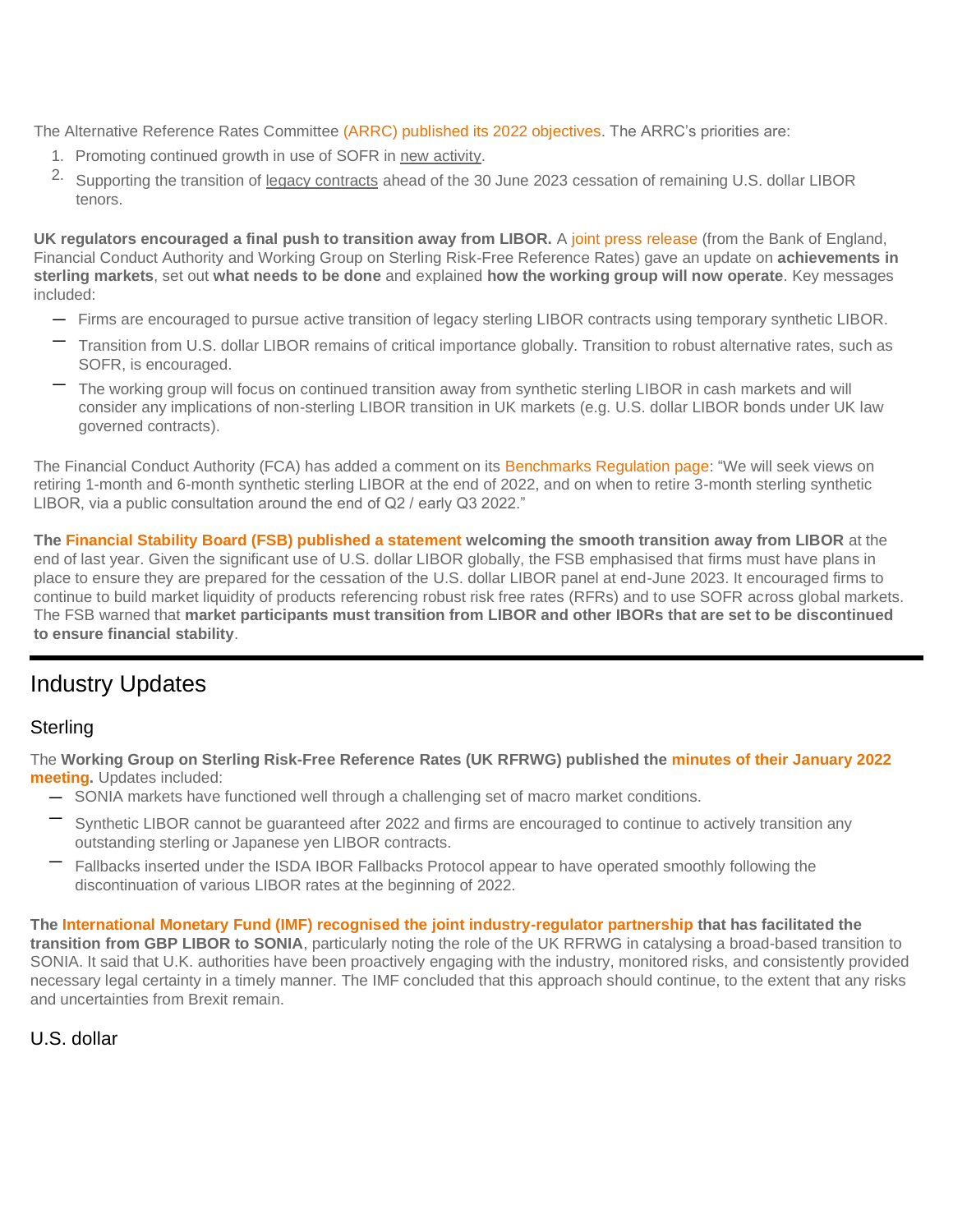The Alternative Reference Rates Committee [\(ARRC\) published its 2022 objectives.](https://www.newyorkfed.org/medialibrary/Microsites/arrc/files/2022/ARRC_2022_Objectives.pdf) The ARRC's priorities are:

- 1. Promoting continued growth in use of SOFR in new activity.
- <sup>2.</sup> Supporting the transition of legacy contracts ahead of the 30 June 2023 cessation of remaining U.S. dollar LIBOR tenors.

**UK regulators encouraged a final push to transition away from LIBOR.** A [joint press release](https://www.bankofengland.co.uk/news/2022/february/sterling-risk-free-reference-rates-finalising-libor-transition) (from the Bank of England, Financial Conduct Authority and Working Group on Sterling Risk-Free Reference Rates) gave an update on **achievements in sterling markets**, set out **what needs to be done** and explained **how the working group will now operate**. Key messages included:

- Firms are encouraged to pursue active transition of legacy sterling LIBOR contracts using temporary synthetic LIBOR.
- Transition from U.S. dollar LIBOR remains of critical importance globally. Transition to robust alternative rates, such as SOFR, is encouraged.
- The working group will focus on continued transition away from synthetic sterling LIBOR in cash markets and will consider any implications of non-sterling LIBOR transition in UK markets (e.g. U.S. dollar LIBOR bonds under UK law governed contracts).

The Financial Conduct Authority (FCA) has added a comment on its [Benchmarks Regulation page:](https://www.newyorkfed.org/medialibrary/Microsites/arrc/files/2022/ARRC_2022_Objectives.pdf) "We will seek views on retiring 1-month and 6-month synthetic sterling LIBOR at the end of 2022, and on when to retire 3-month sterling synthetic LIBOR, via a public consultation around the end of Q2 / early Q3 2022."

**The [Financial Stability Board \(FSB\) published a statement](https://www.fca.org.uk/markets/transition-libor/benchmarks-regulation-powers-policy-decision-making) welcoming the smooth transition away from LIBOR** at the end of last year. Given the significant use of U.S. dollar LIBOR globally, the FSB emphasised that firms must have plans in place to ensure they are prepared for the cessation of the U.S. dollar LIBOR panel at end-June 2023. It encouraged firms to continue to build market liquidity of products referencing robust risk free rates (RFRs) and to use SOFR across global markets. The FSB warned that **market participants must transition from LIBOR and other IBORs that are set to be discontinued to ensure financial stability**.

# Industry Updates

### **Sterling**

The **Working Group on Sterling Risk-Free Reference Rates (UK RFRWG) published the [minutes of their January 2022](https://www.bankofengland.co.uk/minutes/2022/january/rfr-january-2022)  [meeting.](https://www.bankofengland.co.uk/minutes/2022/january/rfr-january-2022)** Updates included:

- SONIA markets have functioned well through a challenging set of macro market conditions.
- Synthetic LIBOR cannot be guaranteed after 2022 and firms are encouraged to continue to actively transition any outstanding sterling or Japanese yen LIBOR contracts.
- Fallbacks inserted under the ISDA IBOR Fallbacks Protocol appear to have operated smoothly following the discontinuation of various LIBOR rates at the beginning of 2022.

**The [International Monetary Fund \(IMF\) recognised the joint industry-regulator partnership](https://www.imf.org/en/Publications/CR/Issues/2022/04/07/United-Kingdom-Financial-Sector-Assessment-Program-Financial-Stability-and-Managing-516279) that has facilitated the transition from GBP LIBOR to SONIA**, particularly noting the role of the UK RFRWG in catalysing a broad-based transition to SONIA. It said that U.K. authorities have been proactively engaging with the industry, monitored risks, and consistently provided necessary legal certainty in a timely manner. The IMF concluded that this approach should continue, to the extent that any risks and uncertainties from Brexit remain.

### U.S. dollar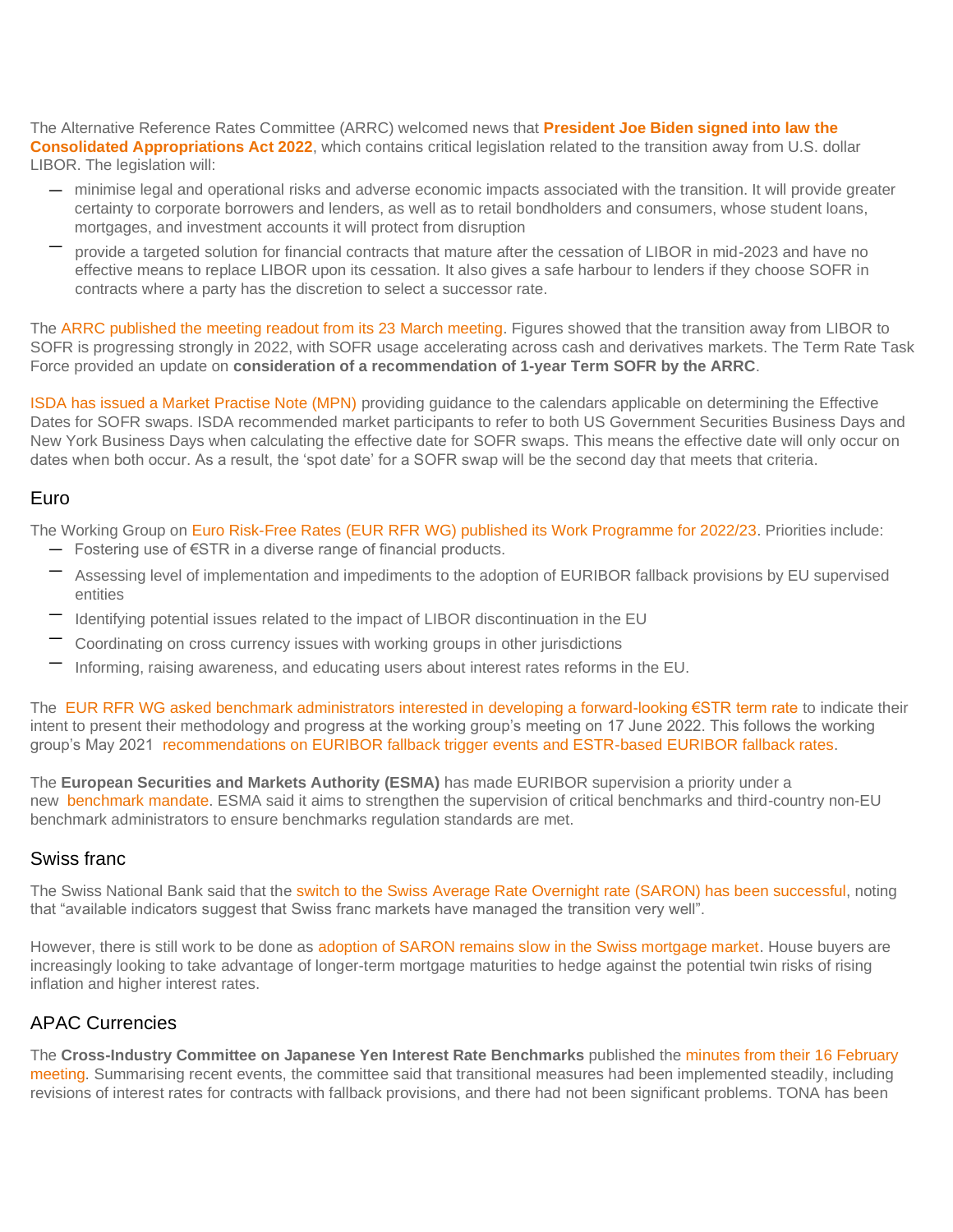The Alternative Reference Rates Committee (ARRC) welcomed news that **[President Joe Biden signed into law the](https://www.newyorkfed.org/medialibrary/Microsites/arrc/files/2022/ARRC-Press-Release-Passage-Federal-LIBOR-Legislation.pdf)  [Consolidated Appropriations Act 2022](https://www.newyorkfed.org/medialibrary/Microsites/arrc/files/2022/ARRC-Press-Release-Passage-Federal-LIBOR-Legislation.pdf)**, which contains critical legislation related to the transition away from U.S. dollar LIBOR. The legislation will:

- minimise legal and operational risks and adverse economic impacts associated with the transition. It will provide greater certainty to corporate borrowers and lenders, as well as to retail bondholders and consumers, whose student loans, mortgages, and investment accounts it will protect from disruption
- provide a targeted solution for financial contracts that mature after the cessation of LIBOR in mid-2023 and have no effective means to replace LIBOR upon its cessation. It also gives a safe harbour to lenders if they choose SOFR in contracts where a party has the discretion to select a successor rate.

The [ARRC published the meeting readout from its 23 March meeting.](https://www.newyorkfed.org/medialibrary/Microsites/arrc/files/2022/arrc-readout-for-march-23-2022-meeting) Figures showed that the transition away from LIBOR to SOFR is progressing strongly in 2022, with SOFR usage accelerating across cash and derivatives markets. The Term Rate Task Force provided an update on **consideration of a recommendation of 1-year Term SOFR by the ARRC**.

[ISDA has issued a Market Practise Note \(MPN\)](https://www.isda.org/a/xjPgE/Market-Practice-Note-Effective-Date-for-SOFR-transactions-040822.pdf) providing guidance to the calendars applicable on determining the Effective Dates for SOFR swaps. ISDA recommended market participants to refer to both US Government Securities Business Days and New York Business Days when calculating the effective date for SOFR swaps. This means the effective date will only occur on dates when both occur. As a result, the 'spot date' for a SOFR swap will be the second day that meets that criteria.

### Euro

The Working Group on [Euro Risk-Free Rates \(EUR RFR WG\) published its Work Programme for 2022/23.](https://www.esma.europa.eu/sites/default/files/library/esma81-459-50_wg_on_euro_risk-free_rates_-_work_programme_2022-23.pdf) Priorities include:

- Fostering use of €STR in a diverse range of financial products.
- Assessing level of implementation and impediments to the adoption of EURIBOR fallback provisions by EU supervised entities
- Identifying potential issues related to the impact of LIBOR discontinuation in the EU
- Coordinating on cross currency issues with working groups in other jurisdictions
- Informing, raising awareness, and educating users about interest rates reforms in the EU.

The [EUR RFR WG asked benchmark administrators interested in developing a forward-looking €STR term rate](https://www.esma.europa.eu/sites/default/files/library/esma81-459-52_wg_euro_risk-free_rates_call_for_expressions_of_interest.pdf) to indicate their intent to present their methodology and progress at the working group's meeting on 17 June 2022. This follows the working group's May 2021 [recommendations on EURIBOR fallback trigger events and ESTR-based EURIBOR fallback rates.](https://www.ecb.europa.eu/pub/pdf/other/ecb.recommendationsEURIBORfallbacktriggereventsandESTR.202105*9e859b5aa7.en.pdf)

The **European Securities and Markets Authority (ESMA)** has made EURIBOR supervision a priority under a new [benchmark mandate.](https://www.esma.europa.eu/press-news/esma-news/esma-starts-supervision-benchmarks-and-assumes-chair-euribor-college) ESMA said it aims to strengthen the supervision of critical benchmarks and third-country non-EU benchmark administrators to ensure benchmarks regulation standards are met.

### Swiss franc

The Swiss National Bank said that the [switch to the Swiss Average Rate Overnight rate \(SARON\) has been successful,](https://www.sharenet.co.za/views/views-article.php?views-article=877722&_ga=2.156264691.93642650.1649068816-367513795.1645531659) noting that "available indicators suggest that Swiss franc markets have managed the transition very well".

However, there is still work to be done as [adoption of SARON remains slow in the Swiss mortgage market.](https://www.finews.com/news/english-news/50875-saron-libor-snb-mortgages-andrea-maechler-speech-interest-rates) House buyers are increasingly looking to take advantage of longer-term mortgage maturities to hedge against the potential twin risks of rising inflation and higher interest rates.

### APAC Currencies

The **Cross-Industry Committee on Japanese Yen Interest Rate Benchmarks** published the [minutes from their 16 February](https://www.boj.or.jp/en/paym/market/jpy_cmte/cmt220314b.pdf)  [meeting.](https://www.boj.or.jp/en/paym/market/jpy_cmte/cmt220314b.pdf) Summarising recent events, the committee said that transitional measures had been implemented steadily, including revisions of interest rates for contracts with fallback provisions, and there had not been significant problems. TONA has been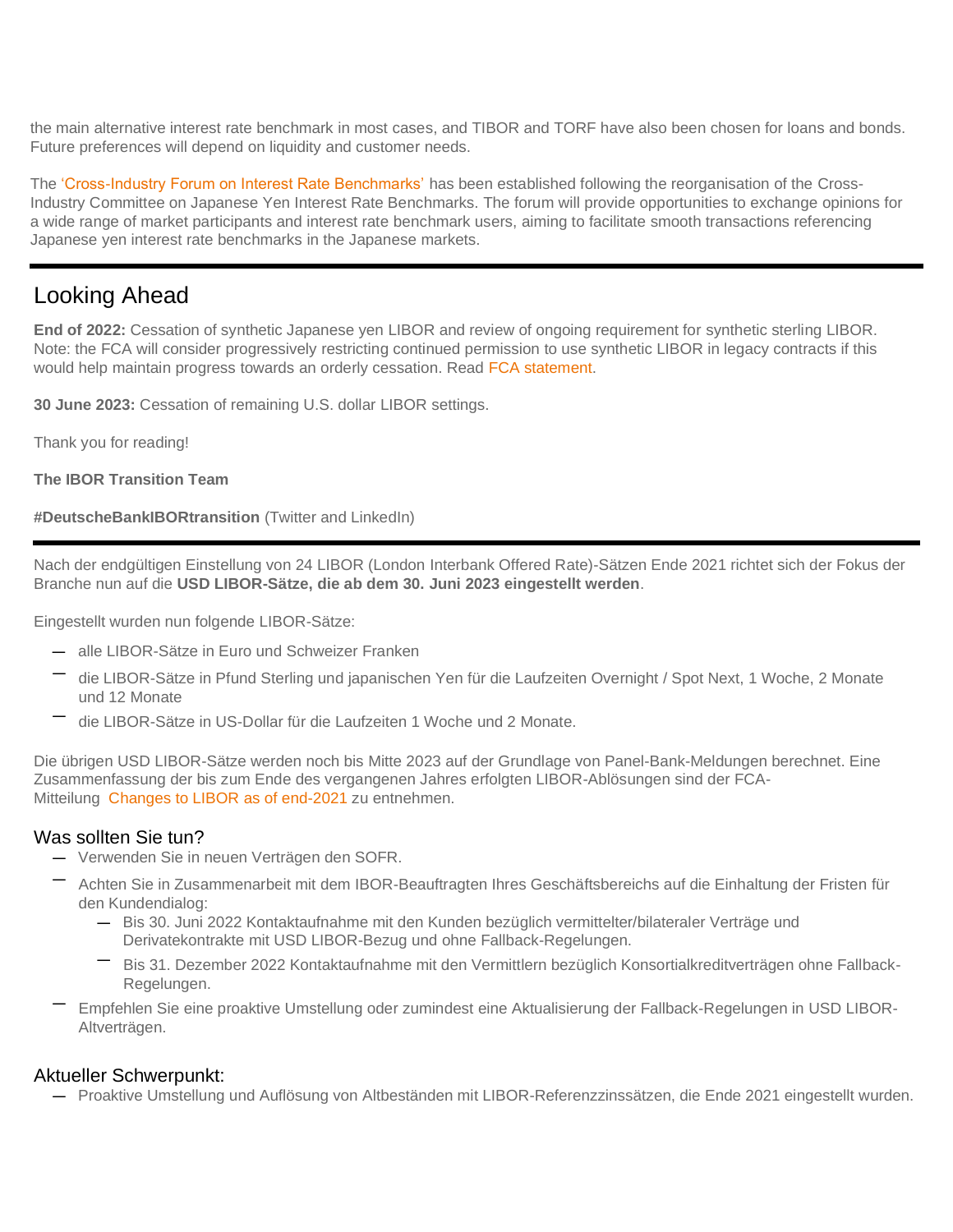the main alternative interest rate benchmark in most cases, and TIBOR and TORF have also been chosen for loans and bonds. Future preferences will depend on liquidity and customer needs.

The ['Cross-Industry Forum on Interest Rate Benchmarks'](https://www.boj.or.jp/en/announcements/release_2022/rel220302b.htm/) has been established following the reorganisation of the Cross-Industry Committee on Japanese Yen Interest Rate Benchmarks. The forum will provide opportunities to exchange opinions for a wide range of market participants and interest rate benchmark users, aiming to facilitate smooth transactions referencing Japanese yen interest rate benchmarks in the Japanese markets.

# Looking Ahead

**End of 2022:** Cessation of synthetic Japanese yen LIBOR and review of ongoing requirement for synthetic sterling LIBOR. Note: the FCA will consider progressively restricting continued permission to use synthetic LIBOR in legacy contracts if this would help maintain progress towards an orderly cessation. Read [FCA statement.](https://www.fca.org.uk/news/press-releases/further-arrangements-orderly-wind-down-libor-end-2021)

**30 June 2023:** Cessation of remaining U.S. dollar LIBOR settings.

Thank you for reading!

**The IBOR Transition Team**

**#DeutscheBankIBORtransition** (Twitter and LinkedIn)

Nach der endgültigen Einstellung von 24 LIBOR (London Interbank Offered Rate)-Sätzen Ende 2021 richtet sich der Fokus der Branche nun auf die **USD LIBOR-Sätze, die ab dem 30. Juni 2023 eingestellt werden**.

Eingestellt wurden nun folgende LIBOR-Sätze:

- alle LIBOR-Sätze in Euro und Schweizer Franken
- die LIBOR-Sätze in Pfund Sterling und japanischen Yen für die Laufzeiten Overnight / Spot Next, 1 Woche, 2 Monate und 12 Monate
- die LIBOR-Sätze in US-Dollar für die Laufzeiten 1 Woche und 2 Monate.

Die übrigen USD LIBOR-Sätze werden noch bis Mitte 2023 auf der Grundlage von Panel-Bank-Meldungen berechnet. Eine Zusammenfassung der bis zum Ende des vergangenen Jahres erfolgten LIBOR-Ablösungen sind der FCA-Mitteilung [Changes to LIBOR as of end-2021](https://www.fca.org.uk/news/news-stories/changes-libor-as-of-end-2021) zu entnehmen.

### Was sollten Sie tun?

- Verwenden Sie in neuen Verträgen den SOFR.
- Achten Sie in Zusammenarbeit mit dem IBOR-Beauftragten Ihres Geschäftsbereichs auf die Einhaltung der Fristen für den Kundendialog:
	- Bis 30. Juni 2022 Kontaktaufnahme mit den Kunden bezüglich vermittelter/bilateraler Verträge und Derivatekontrakte mit USD LIBOR-Bezug und ohne Fallback-Regelungen.
	- Bis 31. Dezember 2022 Kontaktaufnahme mit den Vermittlern bezüglich Konsortialkreditverträgen ohne Fallback-Regelungen.
- Empfehlen Sie eine proaktive Umstellung oder zumindest eine Aktualisierung der Fallback-Regelungen in USD LIBOR-Altverträgen.

### Aktueller Schwerpunkt:

— Proaktive Umstellung und Auflösung von Altbeständen mit LIBOR-Referenzzinssätzen, die Ende 2021 eingestellt wurden.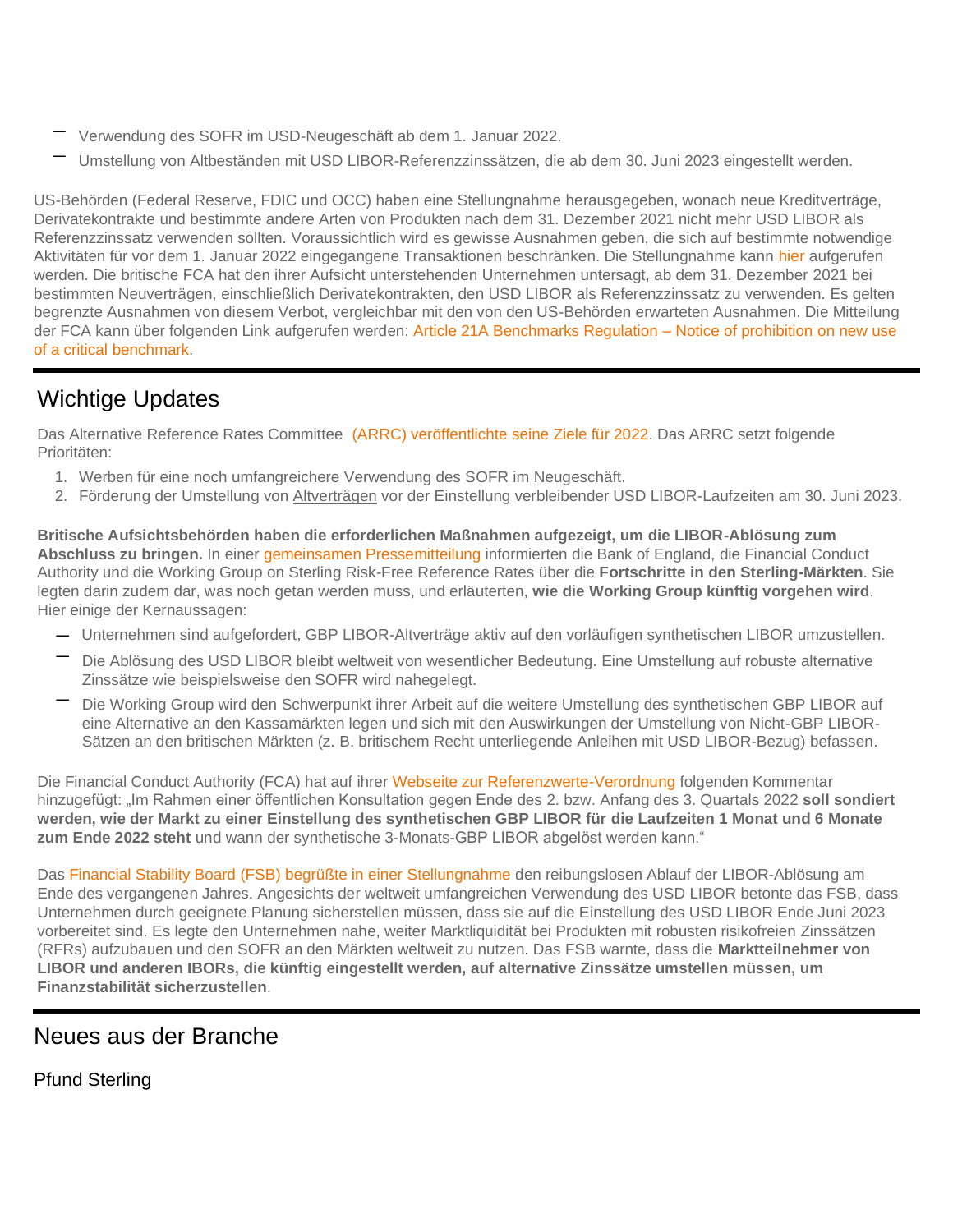- Verwendung des SOFR im USD-Neugeschäft ab dem 1. Januar 2022.
- Umstellung von Altbeständen mit USD LIBOR-Referenzzinssätzen, die ab dem 30. Juni 2023 eingestellt werden.

US-Behörden (Federal Reserve, FDIC und OCC) haben eine Stellungnahme herausgegeben, wonach neue Kreditverträge, Derivatekontrakte und bestimmte andere Arten von Produkten nach dem 31. Dezember 2021 nicht mehr USD LIBOR als Referenzzinssatz verwenden sollten. Voraussichtlich wird es gewisse Ausnahmen geben, die sich auf bestimmte notwendige Aktivitäten für vor dem 1. Januar 2022 eingegangene Transaktionen beschränken. Die Stellungnahme kann [hier](https://www.federalreserve.gov/newsevents/pressreleases/files/bcreg20201130a1.pdf) aufgerufen werden. Die britische FCA hat den ihrer Aufsicht unterstehenden Unternehmen untersagt, ab dem 31. Dezember 2021 bei bestimmten Neuverträgen, einschließlich Derivatekontrakten, den USD LIBOR als Referenzzinssatz zu verwenden. Es gelten begrenzte Ausnahmen von diesem Verbot, vergleichbar mit den von den US-Behörden erwarteten Ausnahmen. Die Mitteilung der FCA kann über folgenden Link aufgerufen werden: [Article 21A Benchmarks Regulation –](https://www.federalreserve.gov/newsevents/pressreleases/files/bcreg20201130a1.pdf) Notice of prohibition on new use [of a critical benchmark.](https://www.federalreserve.gov/newsevents/pressreleases/files/bcreg20201130a1.pdf)

# Wichtige Updates

Das Alternative Reference Rates Committee [\(ARRC\) veröffentlichte seine Ziele für 2022.](https://www.newyorkfed.org/medialibrary/Microsites/arrc/files/2022/ARRC_2022_Objectives.pdf) Das ARRC setzt folgende Prioritäten:

- 1. Werben für eine noch umfangreichere Verwendung des SOFR im Neugeschäft.
- 2. Förderung der Umstellung von Altverträgen vor der Einstellung verbleibender USD LIBOR-Laufzeiten am 30. Juni 2023.

**Britische Aufsichtsbehörden haben die erforderlichen Maßnahmen aufgezeigt, um die LIBOR-Ablösung zum Abschluss zu bringen.** In einer [gemeinsamen Pressemitteilung](https://www.bankofengland.co.uk/news/2022/february/sterling-risk-free-reference-rates-finalising-libor-transition) informierten die Bank of England, die Financial Conduct Authority und die Working Group on Sterling Risk-Free Reference Rates über die **Fortschritte in den Sterling-Märkten**. Sie legten darin zudem dar, was noch getan werden muss, und erläuterten, **wie die Working Group künftig vorgehen wird**. Hier einige der Kernaussagen:

- Unternehmen sind aufgefordert, GBP LIBOR-Altverträge aktiv auf den vorläufigen synthetischen LIBOR umzustellen.
- Die Ablösung des USD LIBOR bleibt weltweit von wesentlicher Bedeutung. Eine Umstellung auf robuste alternative Zinssätze wie beispielsweise den SOFR wird nahegelegt.
- Die Working Group wird den Schwerpunkt ihrer Arbeit auf die weitere Umstellung des synthetischen GBP LIBOR auf eine Alternative an den Kassamärkten legen und sich mit den Auswirkungen der Umstellung von Nicht-GBP LIBOR-Sätzen an den britischen Märkten (z. B. britischem Recht unterliegende Anleihen mit USD LIBOR-Bezug) befassen.

Die Financial Conduct Authority (FCA) hat auf ihrer [Webseite zur Referenzwerte-Verordnung](https://www.fca.org.uk/markets/transition-libor/benchmarks-regulation-powers-policy-decision-making) folgenden Kommentar hinzugefügt: "Im Rahmen einer öffentlichen Konsultation gegen Ende des 2. bzw. Anfang des 3. Quartals 2022 **soll sondiert werden, wie der Markt zu einer Einstellung des synthetischen GBP LIBOR für die Laufzeiten 1 Monat und 6 Monate zum Ende 2022 steht** und wann der synthetische 3-Monats-GBP LIBOR abgelöst werden kann."

Das [Financial Stability Board \(FSB\) begrüßte in einer Stellungnahme](https://www.fsb.org/wp-content/uploads/P050422.pdf) den reibungslosen Ablauf der LIBOR-Ablösung am Ende des vergangenen Jahres. Angesichts der weltweit umfangreichen Verwendung des USD LIBOR betonte das FSB, dass Unternehmen durch geeignete Planung sicherstellen müssen, dass sie auf die Einstellung des USD LIBOR Ende Juni 2023 vorbereitet sind. Es legte den Unternehmen nahe, weiter Marktliquidität bei Produkten mit robusten risikofreien Zinssätzen (RFRs) aufzubauen und den SOFR an den Märkten weltweit zu nutzen. Das FSB warnte, dass die **Marktteilnehmer von LIBOR und anderen IBORs, die künftig eingestellt werden, auf alternative Zinssätze umstellen müssen, um Finanzstabilität sicherzustellen**.

# Neues aus der Branche

Pfund Sterling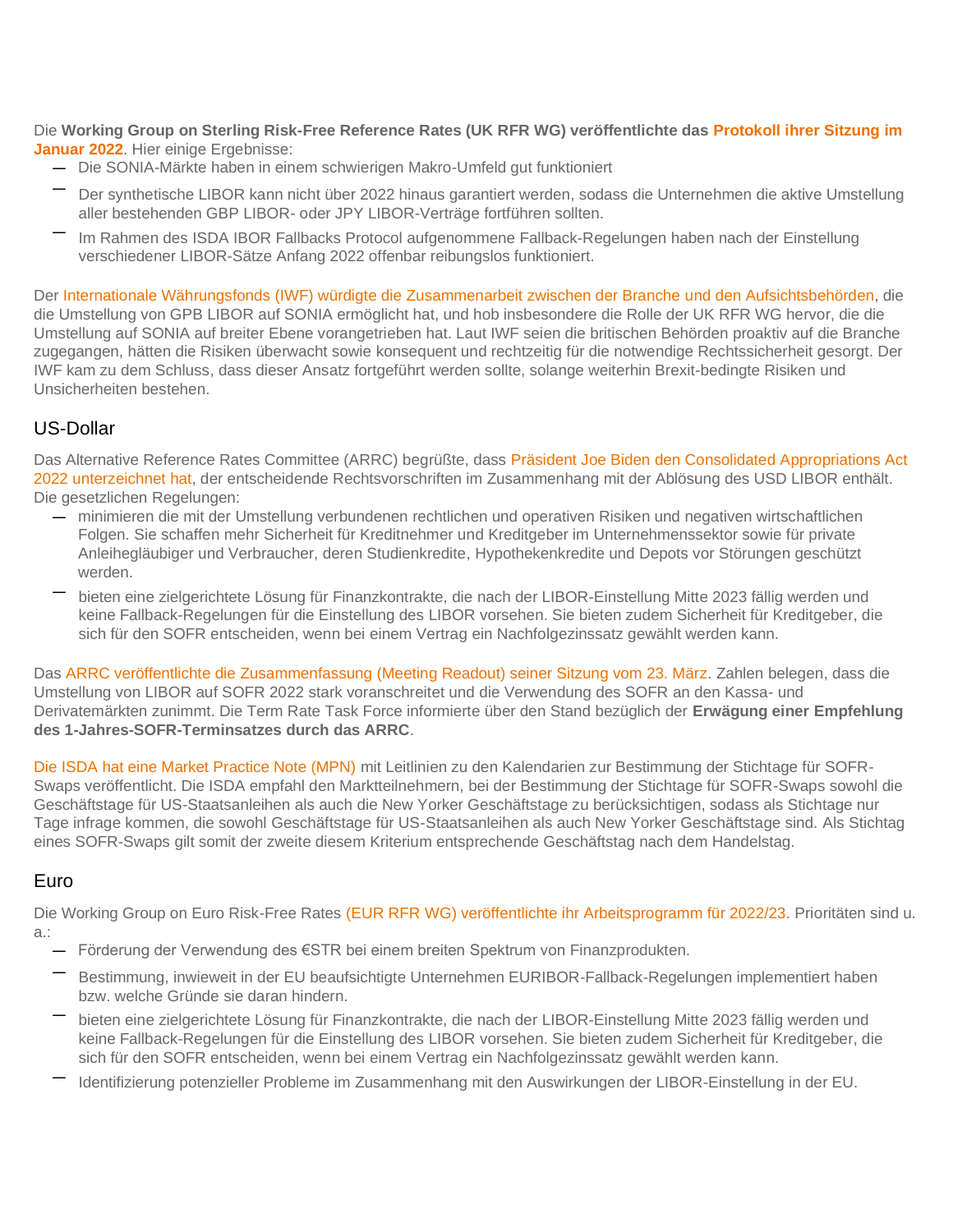Die **Working Group on Sterling Risk-Free Reference Rates (UK RFR WG) veröffentlichte das [Protokoll ihrer Sitzung im](https://www.bankofengland.co.uk/minutes/2022/january/rfr-january-2022)  [Januar 2022](https://www.bankofengland.co.uk/minutes/2022/january/rfr-january-2022)**. Hier einige Ergebnisse:

- Die SONIA-Märkte haben in einem schwierigen Makro-Umfeld gut funktioniert
- Der synthetische LIBOR kann nicht über 2022 hinaus garantiert werden, sodass die Unternehmen die aktive Umstellung aller bestehenden GBP LIBOR- oder JPY LIBOR-Verträge fortführen sollten.
- Im Rahmen des ISDA IBOR Fallbacks Protocol aufgenommene Fallback-Regelungen haben nach der Einstellung verschiedener LIBOR-Sätze Anfang 2022 offenbar reibungslos funktioniert.

Der [Internationale Währungsfonds \(IWF\) würdigte die Zusammenarbeit zwischen der Branche und den Aufsichtsbehörden,](https://www.imf.org/en/Publications/CR/Issues/2022/04/07/United-Kingdom-Financial-Sector-Assessment-Program-Financial-Stability-and-Managing-516279) die die Umstellung von GPB LIBOR auf SONIA ermöglicht hat, und hob insbesondere die Rolle der UK RFR WG hervor, die die Umstellung auf SONIA auf breiter Ebene vorangetrieben hat. Laut IWF seien die britischen Behörden proaktiv auf die Branche zugegangen, hätten die Risiken überwacht sowie konsequent und rechtzeitig für die notwendige Rechtssicherheit gesorgt. Der IWF kam zu dem Schluss, dass dieser Ansatz fortgeführt werden sollte, solange weiterhin Brexit-bedingte Risiken und Unsicherheiten bestehen.

### US-Dollar

Das Alternative Reference Rates Committee (ARRC) begrüßte, dass Präsident Joe Biden den Consolidated Appropriations Act [2022 unterzeichnet hat,](https://www.newyorkfed.org/medialibrary/Microsites/arrc/files/2022/ARRC-Press-Release-Passage-Federal-LIBOR-Legislation.pdf) der entscheidende Rechtsvorschriften im Zusammenhang mit der Ablösung des USD LIBOR enthält. Die gesetzlichen Regelungen:

- minimieren die mit der Umstellung verbundenen rechtlichen und operativen Risiken und negativen wirtschaftlichen Folgen. Sie schaffen mehr Sicherheit für Kreditnehmer und Kreditgeber im Unternehmenssektor sowie für private Anleihegläubiger und Verbraucher, deren Studienkredite, Hypothekenkredite und Depots vor Störungen geschützt werden.
- bieten eine zielgerichtete Lösung für Finanzkontrakte, die nach der LIBOR-Einstellung Mitte 2023 fällig werden und keine Fallback-Regelungen für die Einstellung des LIBOR vorsehen. Sie bieten zudem Sicherheit für Kreditgeber, die sich für den SOFR entscheiden, wenn bei einem Vertrag ein Nachfolgezinssatz gewählt werden kann.

Das [ARRC veröffentlichte die Zusammenfassung \(Meeting Readout\) seiner Sitzung vom 23. März.](https://www.newyorkfed.org/medialibrary/Microsites/arrc/files/2022/arrc-readout-for-march-23-2022-meeting) Zahlen belegen, dass die Umstellung von LIBOR auf SOFR 2022 stark voranschreitet und die Verwendung des SOFR an den Kassa- und Derivatemärkten zunimmt. Die Term Rate Task Force informierte über den Stand bezüglich der **Erwägung einer Empfehlung des 1-Jahres-SOFR-Terminsatzes durch das ARRC**.

[Die ISDA hat eine Market Practice Note \(MPN\)](https://www.isda.org/a/xjPgE/Market-Practice-Note-Effective-Date-for-SOFR-transactions-040822.pdf) mit Leitlinien zu den Kalendarien zur Bestimmung der Stichtage für SOFR-Swaps veröffentlicht. Die ISDA empfahl den Marktteilnehmern, bei der Bestimmung der Stichtage für SOFR-Swaps sowohl die Geschäftstage für US-Staatsanleihen als auch die New Yorker Geschäftstage zu berücksichtigen, sodass als Stichtage nur Tage infrage kommen, die sowohl Geschäftstage für US-Staatsanleihen als auch New Yorker Geschäftstage sind. Als Stichtag eines SOFR-Swaps gilt somit der zweite diesem Kriterium entsprechende Geschäftstag nach dem Handelstag.

### Euro

Die Working Group on Euro Risk-Free Rates [\(EUR RFR WG\) veröffentlichte ihr Arbeitsprogramm für 2022/23.](https://www.esma.europa.eu/sites/default/files/library/esma81-459-50_wg_on_euro_risk-free_rates_-_work_programme_2022-23.pdf) Prioritäten sind u. a.:

- Förderung der Verwendung des €STR bei einem breiten Spektrum von Finanzprodukten.
- Bestimmung, inwieweit in der EU beaufsichtigte Unternehmen EURIBOR-Fallback-Regelungen implementiert haben bzw. welche Gründe sie daran hindern.
- bieten eine zielgerichtete Lösung für Finanzkontrakte, die nach der LIBOR-Einstellung Mitte 2023 fällig werden und keine Fallback-Regelungen für die Einstellung des LIBOR vorsehen. Sie bieten zudem Sicherheit für Kreditgeber, die sich für den SOFR entscheiden, wenn bei einem Vertrag ein Nachfolgezinssatz gewählt werden kann.
- Identifizierung potenzieller Probleme im Zusammenhang mit den Auswirkungen der LIBOR-Einstellung in der EU.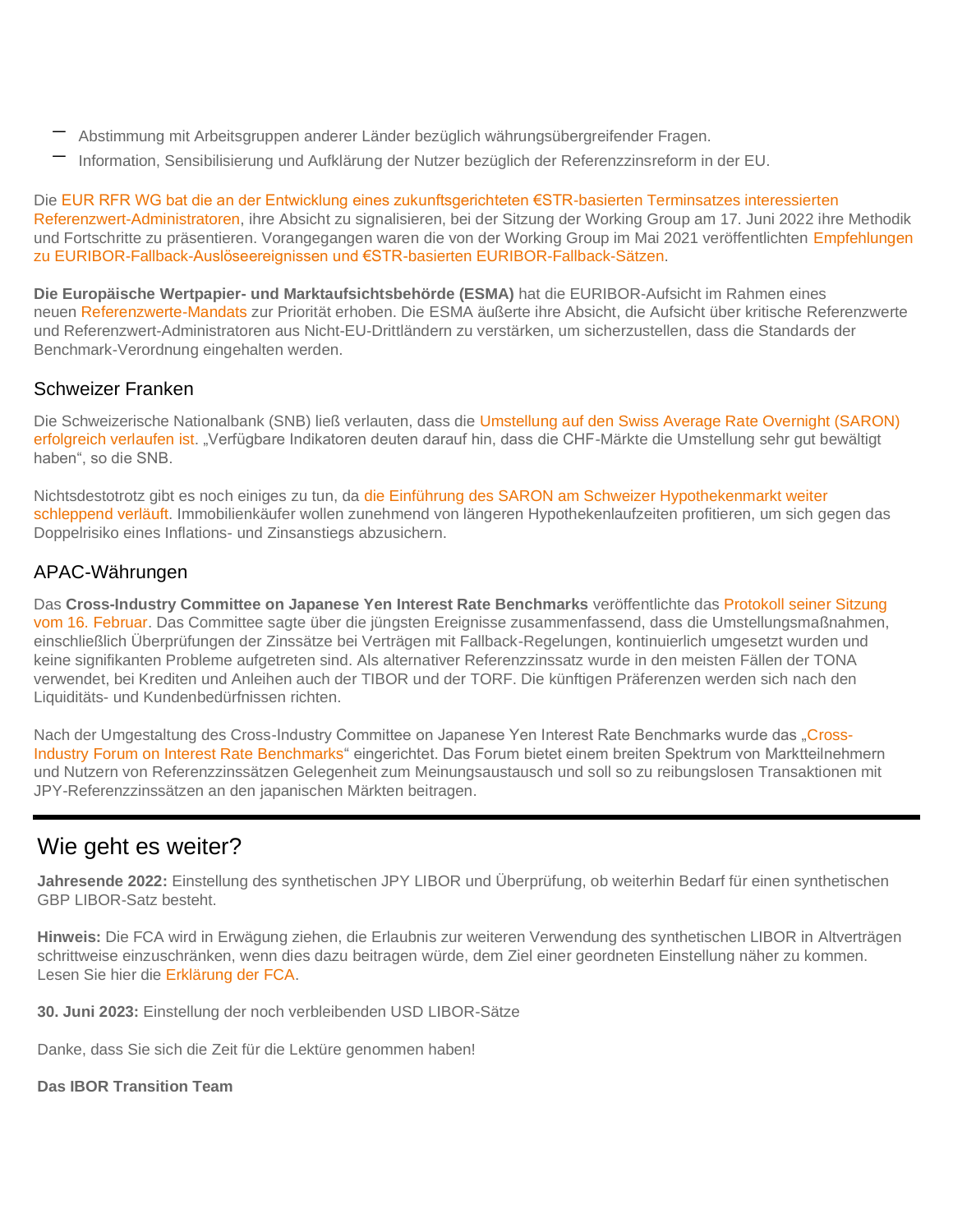- Abstimmung mit Arbeitsgruppen anderer Länder bezüglich währungsübergreifender Fragen.
- Information, Sensibilisierung und Aufklärung der Nutzer bezüglich der Referenzzinsreform in der EU.

Die [EUR RFR WG bat die an der Entwicklung eines zukunftsgerichteten €STR-basierten Terminsatzes interessierten](https://www.esma.europa.eu/sites/default/files/library/esma81-459-52_wg_euro_risk-free_rates_call_for_expressions_of_interest.pdf)  [Referenzwert-Administratoren,](https://www.esma.europa.eu/sites/default/files/library/esma81-459-52_wg_euro_risk-free_rates_call_for_expressions_of_interest.pdf) ihre Absicht zu signalisieren, bei der Sitzung der Working Group am 17. Juni 2022 ihre Methodik und Fortschritte zu präsentieren. Vorangegangen waren die von der Working Group im Mai 2021 veröffentlichten Empfehlungen [zu EURIBOR-Fallback-Auslöseereignissen und €STR-basierten EURIBOR-Fallback-Sätzen.](https://www.ecb.europa.eu/pub/pdf/other/ecb.recommendationsEURIBORfallbacktriggereventsandESTR.202105*9e859b5aa7.en.pdf)

**Die Europäische Wertpapier- und Marktaufsichtsbehörde (ESMA)** hat die EURIBOR-Aufsicht im Rahmen eines neuen [Referenzwerte-Mandats](https://www.esma.europa.eu/press-news/esma-news/esma-starts-supervision-benchmarks-and-assumes-chair-euribor-college) zur Priorität erhoben. Die ESMA äußerte ihre Absicht, die Aufsicht über kritische Referenzwerte und Referenzwert-Administratoren aus Nicht-EU-Drittländern zu verstärken, um sicherzustellen, dass die Standards der Benchmark-Verordnung eingehalten werden.

### Schweizer Franken

Die Schweizerische Nationalbank (SNB) ließ verlauten, dass die [Umstellung auf den Swiss Average Rate Overnight \(SARON\)](https://www.sharenet.co.za/views/views-article.php?views-article=877722&_ga=2.156264691.93642650.1649068816-367513795.1645531659)  [erfolgreich verlaufen ist.](https://www.sharenet.co.za/views/views-article.php?views-article=877722&_ga=2.156264691.93642650.1649068816-367513795.1645531659) "Verfügbare Indikatoren deuten darauf hin, dass die CHF-Märkte die Umstellung sehr gut bewältigt haben", so die SNB.

Nichtsdestotrotz gibt es noch einiges zu tun, da die Einführung des [SARON am Schweizer Hypothekenmarkt weiter](https://www.finews.com/news/english-news/50875-saron-libor-snb-mortgages-andrea-maechler-speech-interest-rates)  [schleppend verläuft.](https://www.finews.com/news/english-news/50875-saron-libor-snb-mortgages-andrea-maechler-speech-interest-rates) Immobilienkäufer wollen zunehmend von längeren Hypothekenlaufzeiten profitieren, um sich gegen das Doppelrisiko eines Inflations- und Zinsanstiegs abzusichern.

### APAC-Währungen

Das **Cross-Industry Committee on Japanese Yen Interest Rate Benchmarks** veröffentlichte das [Protokoll seiner Sitzung](https://www.boj.or.jp/en/paym/market/jpy_cmte/cmt220314b.pdf)  [vom 16. Februar.](https://www.boj.or.jp/en/paym/market/jpy_cmte/cmt220314b.pdf) Das Committee sagte über die jüngsten Ereignisse zusammenfassend, dass die Umstellungsmaßnahmen, einschließlich Überprüfungen der Zinssätze bei Verträgen mit Fallback-Regelungen, kontinuierlich umgesetzt wurden und keine signifikanten Probleme aufgetreten sind. Als alternativer Referenzzinssatz wurde in den meisten Fällen der TONA verwendet, bei Krediten und Anleihen auch der TIBOR und der TORF. Die künftigen Präferenzen werden sich nach den Liquiditäts- und Kundenbedürfnissen richten.

Nach der Umgestaltung des Cross-Industry Committee on Japanese Yen Interest Rate Benchmarks wurde das ["Cross-](https://www.boj.or.jp/en/announcements/release_2022/rel220302b.htm/)[Industry Forum on Interest Rate Benchmarks"](https://www.boj.or.jp/en/announcements/release_2022/rel220302b.htm/) eingerichtet. Das Forum bietet einem breiten Spektrum von Marktteilnehmern und Nutzern von Referenzzinssätzen Gelegenheit zum Meinungsaustausch und soll so zu reibungslosen Transaktionen mit JPY-Referenzzinssätzen an den japanischen Märkten beitragen.

### Wie geht es weiter?

**Jahresende 2022:** Einstellung des synthetischen JPY LIBOR und Überprüfung, ob weiterhin Bedarf für einen synthetischen GBP LIBOR-Satz besteht.

**Hinweis:** Die FCA wird in Erwägung ziehen, die Erlaubnis zur weiteren Verwendung des synthetischen LIBOR in Altverträgen schrittweise einzuschränken, wenn dies dazu beitragen würde, dem Ziel einer geordneten Einstellung näher zu kommen. Lesen Sie hier die [Erklärung der FCA.](https://www.fca.org.uk/news/press-releases/further-arrangements-orderly-wind-down-libor-end-2021)

**30. Juni 2023:** Einstellung der noch verbleibenden USD LIBOR-Sätze

Danke, dass Sie sich die Zeit für die Lektüre genommen haben!

#### **Das IBOR Transition Team**